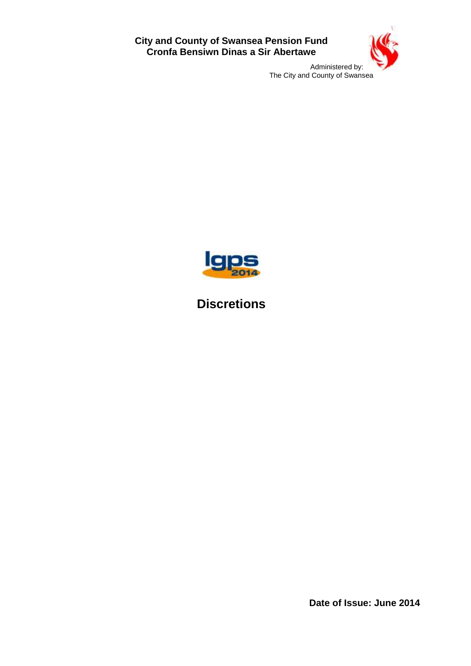**City and County of Swansea Pension Fund Cronfa Bensiwn Dinas a Sir Abertawe**



Administered by: The City and County of Swansea



# **Discretions**

**Date of Issue: June 2014**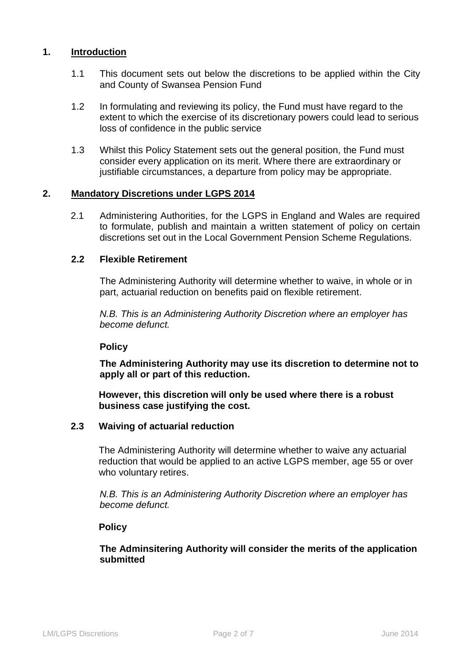# **1. Introduction**

- 1.1 This document sets out below the discretions to be applied within the City and County of Swansea Pension Fund
- 1.2 In formulating and reviewing its policy, the Fund must have regard to the extent to which the exercise of its discretionary powers could lead to serious loss of confidence in the public service
- 1.3 Whilst this Policy Statement sets out the general position, the Fund must consider every application on its merit. Where there are extraordinary or justifiable circumstances, a departure from policy may be appropriate.

#### **2. Mandatory Discretions under LGPS 2014**

2.1 Administering Authorities, for the LGPS in England and Wales are required to formulate, publish and maintain a written statement of policy on certain discretions set out in the Local Government Pension Scheme Regulations.

# **2.2 Flexible Retirement**

The Administering Authority will determine whether to waive, in whole or in part, actuarial reduction on benefits paid on flexible retirement.

*N.B. This is an Administering Authority Discretion where an employer has become defunct.* 

#### **Policy**

**The Administering Authority may use its discretion to determine not to apply all or part of this reduction.**

# **However, this discretion will only be used where there is a robust business case justifying the cost.**

## **2.3 Waiving of actuarial reduction**

The Administering Authority will determine whether to waive any actuarial reduction that would be applied to an active LGPS member, age 55 or over who voluntary retires.

*N.B. This is an Administering Authority Discretion where an employer has become defunct.* 

#### **Policy**

**The Adminsitering Authority will consider the merits of the application submitted**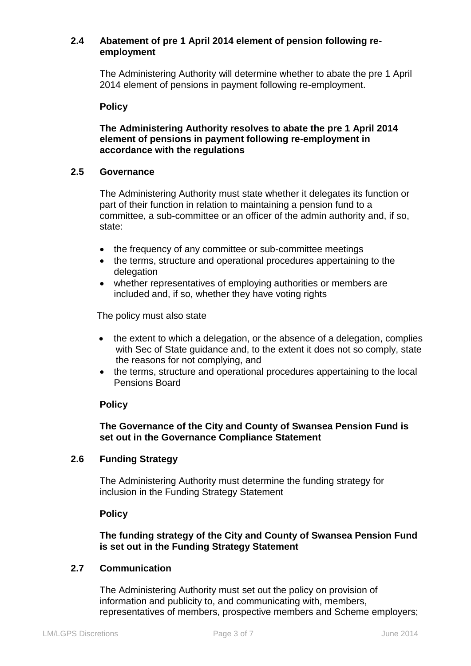# **2.4 Abatement of pre 1 April 2014 element of pension following reemployment**

The Administering Authority will determine whether to abate the pre 1 April 2014 element of pensions in payment following re-employment.

#### **Policy**

# **The Administering Authority resolves to abate the pre 1 April 2014 element of pensions in payment following re-employment in accordance with the regulations**

# **2.5 Governance**

The Administering Authority must state whether it delegates its function or part of their function in relation to maintaining a pension fund to a committee, a sub-committee or an officer of the admin authority and, if so, state:

- the frequency of any committee or sub-committee meetings
- the terms, structure and operational procedures appertaining to the delegation
- whether representatives of employing authorities or members are included and, if so, whether they have voting rights

The policy must also state

- the extent to which a delegation, or the absence of a delegation, complies with Sec of State guidance and, to the extent it does not so comply, state the reasons for not complying, and
- the terms, structure and operational procedures appertaining to the local Pensions Board

# **Policy**

# **The Governance of the City and County of Swansea Pension Fund is set out in the Governance Compliance Statement**

#### **2.6 Funding Strategy**

The Administering Authority must determine the funding strategy for inclusion in the Funding Strategy Statement

#### **Policy**

# **The funding strategy of the City and County of Swansea Pension Fund is set out in the Funding Strategy Statement**

# **2.7 Communication**

The Administering Authority must set out the policy on provision of information and publicity to, and communicating with, members, representatives of members, prospective members and Scheme employers;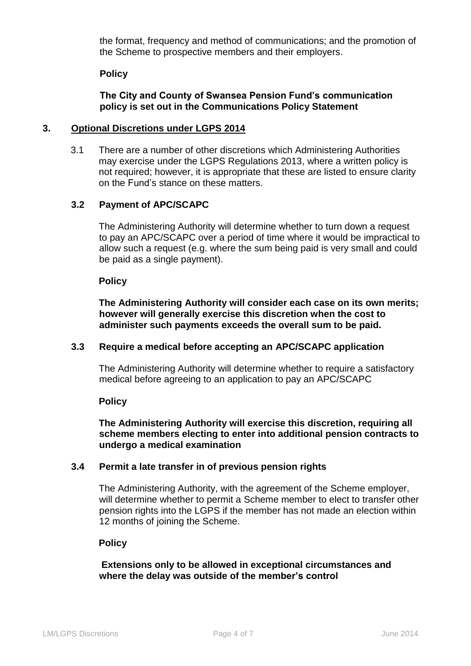the format, frequency and method of communications; and the promotion of the Scheme to prospective members and their employers.

#### **Policy**

## **The City and County of Swansea Pension Fund's communication policy is set out in the Communications Policy Statement**

#### **3. Optional Discretions under LGPS 2014**

3.1 There are a number of other discretions which Administering Authorities may exercise under the LGPS Regulations 2013, where a written policy is not required; however, it is appropriate that these are listed to ensure clarity on the Fund's stance on these matters.

# **3.2 Payment of APC/SCAPC**

The Administering Authority will determine whether to turn down a request to pay an APC/SCAPC over a period of time where it would be impractical to allow such a request (e.g. where the sum being paid is very small and could be paid as a single payment).

#### **Policy**

**The Administering Authority will consider each case on its own merits; however will generally exercise this discretion when the cost to administer such payments exceeds the overall sum to be paid.**

#### **3.3 Require a medical before accepting an APC/SCAPC application**

The Administering Authority will determine whether to require a satisfactory medical before agreeing to an application to pay an APC/SCAPC

#### **Policy**

## **The Administering Authority will exercise this discretion, requiring all scheme members electing to enter into additional pension contracts to undergo a medical examination**

#### **3.4 Permit a late transfer in of previous pension rights**

The Administering Authority, with the agreement of the Scheme employer, will determine whether to permit a Scheme member to elect to transfer other pension rights into the LGPS if the member has not made an election within 12 months of joining the Scheme.

## **Policy**

**Extensions only to be allowed in exceptional circumstances and where the delay was outside of the member's control**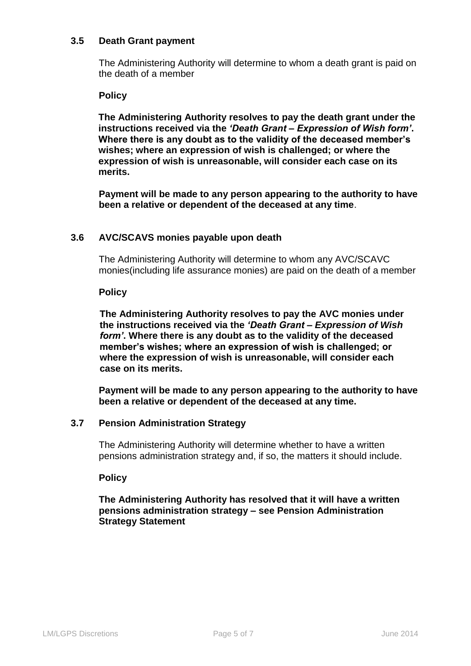## **3.5 Death Grant payment**

The Administering Authority will determine to whom a death grant is paid on the death of a member

#### **Policy**

**The Administering Authority resolves to pay the death grant under the instructions received via the** *'Death Grant – Expression of Wish form'***. Where there is any doubt as to the validity of the deceased member's wishes; where an expression of wish is challenged; or where the expression of wish is unreasonable, will consider each case on its merits.**

**Payment will be made to any person appearing to the authority to have been a relative or dependent of the deceased at any time**.

## **3.6 AVC/SCAVS monies payable upon death**

The Administering Authority will determine to whom any AVC/SCAVC monies(including life assurance monies) are paid on the death of a member

#### **Policy**

**The Administering Authority resolves to pay the AVC monies under the instructions received via the** *'Death Grant – Expression of Wish form'***. Where there is any doubt as to the validity of the deceased member's wishes; where an expression of wish is challenged; or where the expression of wish is unreasonable, will consider each case on its merits.**

**Payment will be made to any person appearing to the authority to have been a relative or dependent of the deceased at any time.**

#### **3.7 Pension Administration Strategy**

The Administering Authority will determine whether to have a written pensions administration strategy and, if so, the matters it should include.

#### **Policy**

**The Administering Authority has resolved that it will have a written pensions administration strategy – see Pension Administration Strategy Statement**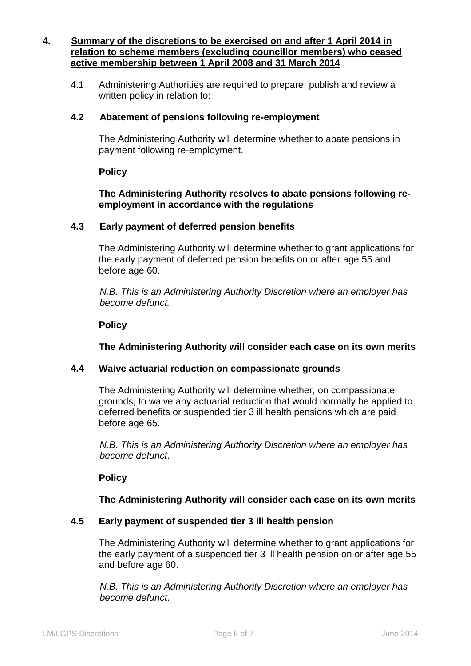# **4. Summary of the discretions to be exercised on and after 1 April 2014 in relation to scheme members (excluding councillor members) who ceased active membership between 1 April 2008 and 31 March 2014**

4.1 Administering Authorities are required to prepare, publish and review a written policy in relation to:

# **4.2 Abatement of pensions following re-employment**

The Administering Authority will determine whether to abate pensions in payment following re-employment.

#### **Policy**

**The Administering Authority resolves to abate pensions following reemployment in accordance with the regulations**

# **4.3 Early payment of deferred pension benefits**

The Administering Authority will determine whether to grant applications for the early payment of deferred pension benefits on or after age 55 and before age 60.

*N.B. This is an Administering Authority Discretion where an employer has become defunct.* 

## **Policy**

**The Administering Authority will consider each case on its own merits**

#### **4.4 Waive actuarial reduction on compassionate grounds**

The Administering Authority will determine whether, on compassionate grounds, to waive any actuarial reduction that would normally be applied to deferred benefits or suspended tier 3 ill health pensions which are paid before age 65.

*N.B. This is an Administering Authority Discretion where an employer has become defunct*.

#### **Policy**

#### **The Administering Authority will consider each case on its own merits**

#### **4.5 Early payment of suspended tier 3 ill health pension**

The Administering Authority will determine whether to grant applications for the early payment of a suspended tier 3 ill health pension on or after age 55 and before age 60.

*N.B. This is an Administering Authority Discretion where an employer has become defunct*.